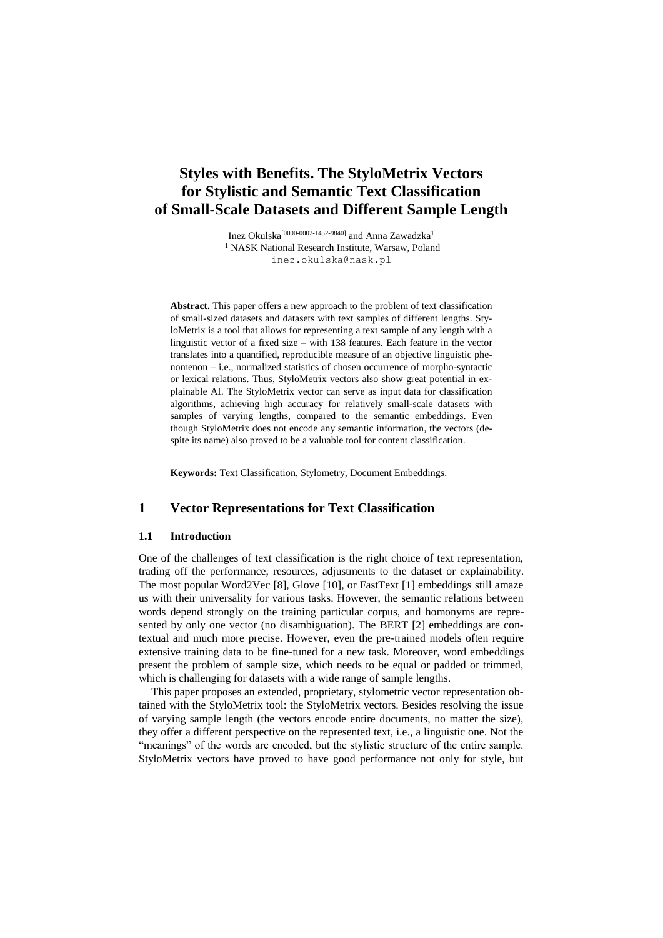# **Styles with Benefits. The StyloMetrix Vectors for Stylistic and Semantic Text Classification of Small-Scale Datasets and Different Sample Length**

Inez Okulska[0000-0002-1452-9840] and Anna Zawadzka<sup>1</sup> <sup>1</sup> NASK National Research Institute, Warsaw, Poland [inez.okulska@nask.pl](mailto:inez.okulska@nask.pl)

**Abstract.** This paper offers a new approach to the problem of text classification of small-sized datasets and datasets with text samples of different lengths. StyloMetrix is a tool that allows for representing a text sample of any length with a linguistic vector of a fixed size – with 138 features. Each feature in the vector translates into a quantified, reproducible measure of an objective linguistic phenomenon – i.e., normalized statistics of chosen occurrence of morpho-syntactic or lexical relations. Thus, StyloMetrix vectors also show great potential in explainable AI. The StyloMetrix vector can serve as input data for classification algorithms, achieving high accuracy for relatively small-scale datasets with samples of varying lengths, compared to the semantic embeddings. Even though StyloMetrix does not encode any semantic information, the vectors (despite its name) also proved to be a valuable tool for content classification.

**Keywords:** Text Classification, Stylometry, Document Embeddings.

### **1 Vector Representations for Text Classification**

#### **1.1 Introduction**

One of the challenges of text classification is the right choice of text representation, trading off the performance, resources, adjustments to the dataset or explainability. The most popular Word2Vec [8], Glove [10], or FastText [1] embeddings still amaze us with their universality for various tasks. However, the semantic relations between words depend strongly on the training particular corpus, and homonyms are represented by only one vector (no disambiguation). The BERT [2] embeddings are contextual and much more precise. However, even the pre-trained models often require extensive training data to be fine-tuned for a new task. Moreover, word embeddings present the problem of sample size, which needs to be equal or padded or trimmed, which is challenging for datasets with a wide range of sample lengths.

This paper proposes an extended, proprietary, stylometric vector representation obtained with the StyloMetrix tool: the StyloMetrix vectors. Besides resolving the issue of varying sample length (the vectors encode entire documents, no matter the size), they offer a different perspective on the represented text, i.e., a linguistic one. Not the "meanings" of the words are encoded, but the stylistic structure of the entire sample. StyloMetrix vectors have proved to have good performance not only for style, but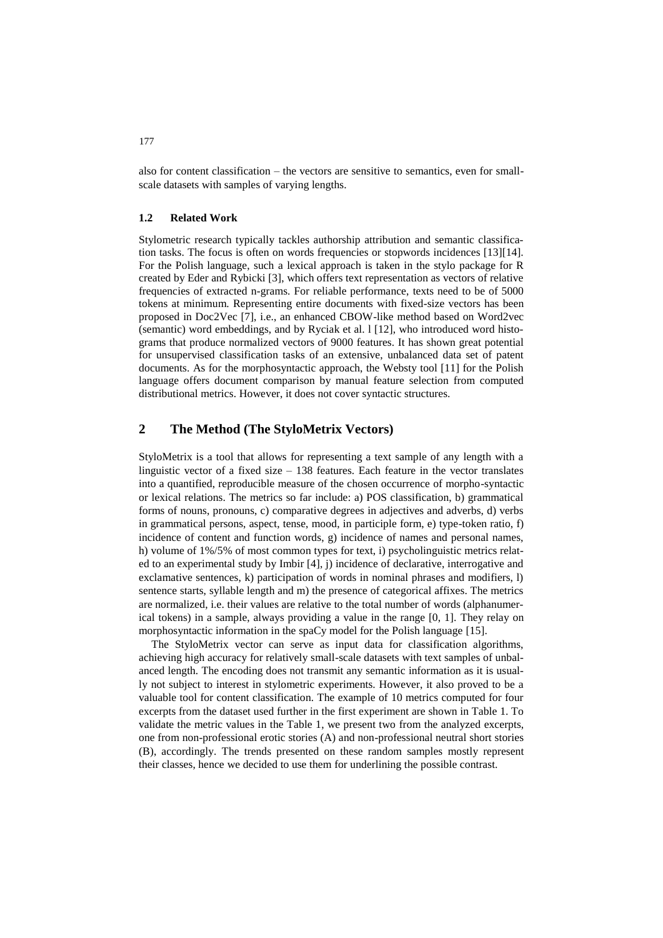also for content classification – the vectors are sensitive to semantics, even for smallscale datasets with samples of varying lengths.

#### **1.2 Related Work**

Stylometric research typically tackles authorship attribution and semantic classification tasks. The focus is often on words frequencies or stopwords incidences [13][14]. For the Polish language, such a lexical approach is taken in the stylo package for R created by Eder and Rybicki [3], which offers text representation as vectors of relative frequencies of extracted n-grams. For reliable performance, texts need to be of 5000 tokens at minimum. Representing entire documents with fixed-size vectors has been proposed in Doc2Vec [7], i.e., an enhanced CBOW-like method based on Word2vec (semantic) word embeddings, and by Ryciak et al. l [12], who introduced word histograms that produce normalized vectors of 9000 features. It has shown great potential for unsupervised classification tasks of an extensive, unbalanced data set of patent documents. As for the morphosyntactic approach, the Websty tool [11] for the Polish language offers document comparison by manual feature selection from computed distributional metrics. However, it does not cover syntactic structures.

## **2 The Method (The StyloMetrix Vectors)**

StyloMetrix is a tool that allows for representing a text sample of any length with a linguistic vector of a fixed size  $-138$  features. Each feature in the vector translates into a quantified, reproducible measure of the chosen occurrence of morpho-syntactic or lexical relations. The metrics so far include: a) POS classification, b) grammatical forms of nouns, pronouns, c) comparative degrees in adjectives and adverbs, d) verbs in grammatical persons, aspect, tense, mood, in participle form, e) type-token ratio, f) incidence of content and function words,  $g$ ) incidence of names and personal names, h) volume of 1%/5% of most common types for text, i) psycholinguistic metrics related to an experimental study by Imbir [4], j) incidence of declarative, interrogative and exclamative sentences, k) participation of words in nominal phrases and modifiers, l) sentence starts, syllable length and m) the presence of categorical affixes. The metrics are normalized, i.e. their values are relative to the total number of words (alphanumerical tokens) in a sample, always providing a value in the range [0, 1]. They relay on morphosyntactic information in the spaCy model for the Polish language [15].

The StyloMetrix vector can serve as input data for classification algorithms, achieving high accuracy for relatively small-scale datasets with text samples of unbalanced length. The encoding does not transmit any semantic information as it is usually not subject to interest in stylometric experiments. However, it also proved to be a valuable tool for content classification. The example of 10 metrics computed for four excerpts from the dataset used further in the first experiment are shown in Table 1. To validate the metric values in the Table 1, we present two from the analyzed excerpts, one from non-professional erotic stories (A) and non-professional neutral short stories (B), accordingly. The trends presented on these random samples mostly represent their classes, hence we decided to use them for underlining the possible contrast.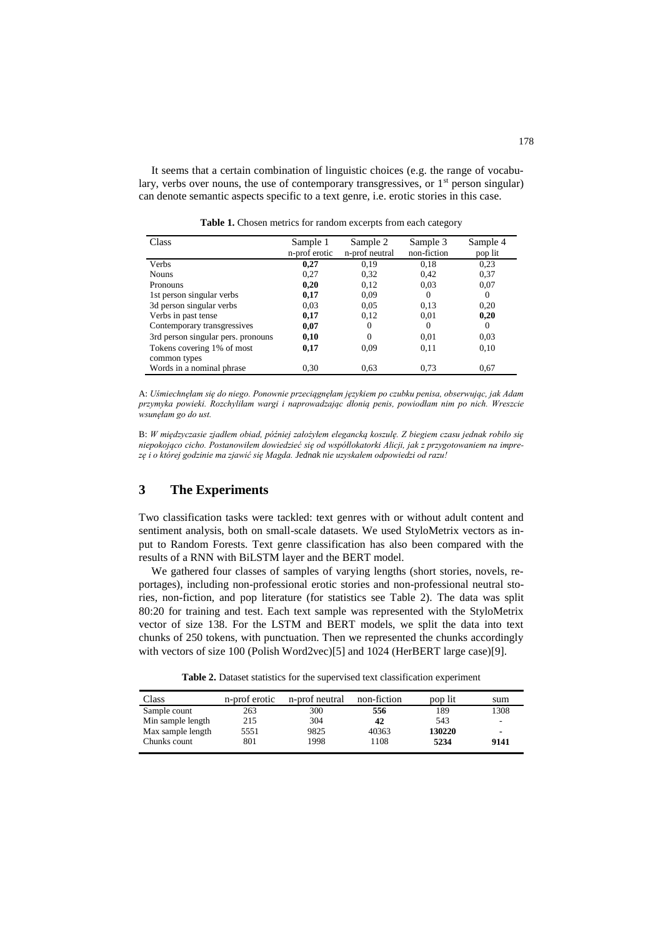It seems that a certain combination of linguistic choices (e.g. the range of vocabulary, verbs over nouns, the use of contemporary transgressives, or  $1<sup>st</sup>$  person singular) can denote semantic aspects specific to a text genre, i.e. erotic stories in this case.

| Class                              | Sample 1      | Sample 2       | Sample 3    | Sample 4 |
|------------------------------------|---------------|----------------|-------------|----------|
|                                    | n-prof erotic | n-prof neutral | non-fiction | pop lit  |
| <b>Verbs</b>                       | 0,27          | 0.19           | 0,18        | 0.23     |
| <b>Nouns</b>                       | 0.27          | 0,32           | 0.42        | 0,37     |
| <b>Pronouns</b>                    | 0,20          | 0,12           | 0.03        | 0,07     |
| 1st person singular verbs          | 0,17          | 0.09           | $\Omega$    | $\Omega$ |
| 3d person singular verbs           | 0.03          | 0.05           | 0.13        | 0.20     |
| Verbs in past tense                | 0,17          | 0,12           | 0.01        | 0,20     |
| Contemporary transgressives        | 0,07          | $\Omega$       | $\Omega$    | $\Omega$ |
| 3rd person singular pers. pronouns | 0,10          | $\Omega$       | 0.01        | 0.03     |
| Tokens covering 1% of most         | 0,17          | 0.09           | 0.11        | 0,10     |
| common types                       |               |                |             |          |
| Words in a nominal phrase          | 0.30          | 0.63           | 0.73        | 0.67     |

**Table 1.** Chosen metrics for random excerpts from each category

A: *Uśmiechnęłam się do niego. Ponownie przeciągnęłam językiem po czubku penisa, obserwując, jak Adam przymyka powieki. Rozchyliłam wargi i naprowadzając dłonią penis, powiodłam nim po nich. Wreszcie wsunęłam go do ust.*

B: *W międzyczasie zjadłem obiad, później założyłem elegancką koszulę. Z biegiem czasu jednak robiło się niepokojąco cicho. Postanowiłem dowiedzieć się od współlokatorki Alicji, jak z przygotowaniem na imprezę i o której godzinie ma zjawić się Magda. Jednak nie uzyskałem odpowiedzi od razu!* 

## **3 The Experiments**

Two classification tasks were tackled: text genres with or without adult content and sentiment analysis, both on small-scale datasets. We used StyloMetrix vectors as input to Random Forests. Text genre classification has also been compared with the results of a RNN with BiLSTM layer and the BERT model.

We gathered four classes of samples of varying lengths (short stories, novels, reportages), including non-professional erotic stories and non-professional neutral stories, non-fiction, and pop literature (for statistics see Table 2). The data was split 80:20 for training and test. Each text sample was represented with the StyloMetrix vector of size 138. For the LSTM and BERT models, we split the data into text chunks of 250 tokens, with punctuation. Then we represented the chunks accordingly with vectors of size 100 (Polish Word2vec)[5] and 1024 (HerBERT large case)[9].

**Table 2.** Dataset statistics for the supervised text classification experiment

| Class             | n-prof erotic | n-prof neutral | non-fiction | pop lit | sum  |
|-------------------|---------------|----------------|-------------|---------|------|
| Sample count      | 263           | 300            | 556         | 189     | 1308 |
| Min sample length | 215           | 304            | 42          | 543     |      |
| Max sample length | 5551          | 9825           | 40363       | 130220  | -    |
| Chunks count      | 801           | 1998           | 1108        | 5234    | 9141 |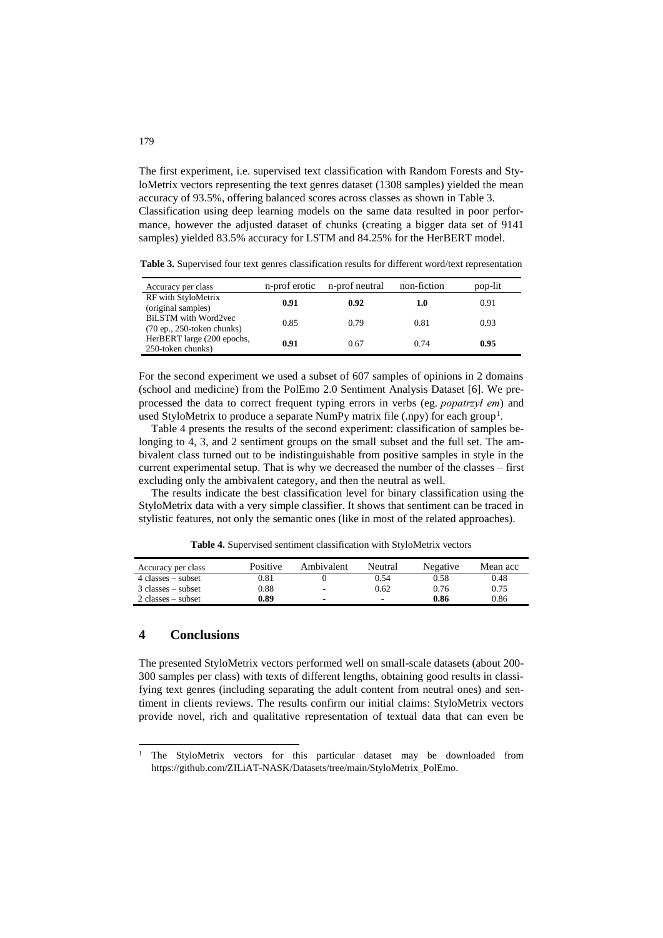The first experiment, i.e. supervised text classification with Random Forests and StyloMetrix vectors representing the text genres dataset (1308 samples) yielded the mean accuracy of 93.5%, offering balanced scores across classes as shown in Table 3. Classification using deep learning models on the same data resulted in poor performance, however the adjusted dataset of chunks (creating a bigger data set of 9141 samples) yielded 83.5% accuracy for LSTM and 84.25% for the HerBERT model.

**Table 3.** Supervised four text genres classification results for different word/text representation

| Accuracy per class                                         | n-prof erotic | n-prof neutral | non-fiction | pop-lit |
|------------------------------------------------------------|---------------|----------------|-------------|---------|
| RF with StyloMetrix<br>(original samples)                  | 0.91          | 0.92           | 1.0         | 0.91    |
| <b>BiLSTM</b> with Word2vec<br>$(70ep., 250-token chunks)$ | 0.85          | 0.79           | 0.81        | 0.93    |
| HerBERT large (200 epochs,<br>250-token chunks)            | 0.91          | 0.67           | 0.74        | 0.95    |

For the second experiment we used a subset of 607 samples of opinions in 2 domains (school and medicine) from the PolEmo 2.0 Sentiment Analysis Dataset [6]. We preprocessed the data to correct frequent typing errors in verbs (eg. *popatrzył em*) and used StyloMetrix to produce a separate NumPy matrix file (.npy) for each group<sup>1</sup>.

Table 4 presents the results of the second experiment: classification of samples belonging to 4, 3, and 2 sentiment groups on the small subset and the full set. The ambivalent class turned out to be indistinguishable from positive samples in style in the current experimental setup. That is why we decreased the number of the classes – first excluding only the ambivalent category, and then the neutral as well.

The results indicate the best classification level for binary classification using the StyloMetrix data with a very simple classifier. It shows that sentiment can be traced in stylistic features, not only the semantic ones (like in most of the related approaches).

**Table 4.** Supervised sentiment classification with StyloMetrix vectors

| Accuracy per class                  | <b>Positive</b> | Ambivalent | Neutral | Negative | Mean acc |
|-------------------------------------|-----------------|------------|---------|----------|----------|
| $4$ classes $-$ subset              | 0.81            |            | 0.54    | 0.58     | 0.48     |
| $3$ classes – subset                | 0.88            | ٠.         | 0.62    | 0.76     | 0.75     |
| $2 \text{ classes} - \text{subset}$ | 0.89            | ۰.         | ٠       | 0.86     | 0.86     |

### **4 Conclusions**

 $\overline{a}$ 

The presented StyloMetrix vectors performed well on small-scale datasets (about 200- 300 samples per class) with texts of different lengths, obtaining good results in classifying text genres (including separating the adult content from neutral ones) and sentiment in clients reviews. The results confirm our initial claims: StyloMetrix vectors provide novel, rich and qualitative representation of textual data that can even be

<sup>&</sup>lt;sup>1</sup> The StyloMetrix vectors for this particular dataset may be downloaded from [https://github.com/ZILiAT-NASK/Datasets/tree/main/StyloMetrix\\_PolEmo.](https://github.com/ZILiAT-NASK/Datasets/tree/main/StyloMetrix_PolEmo)